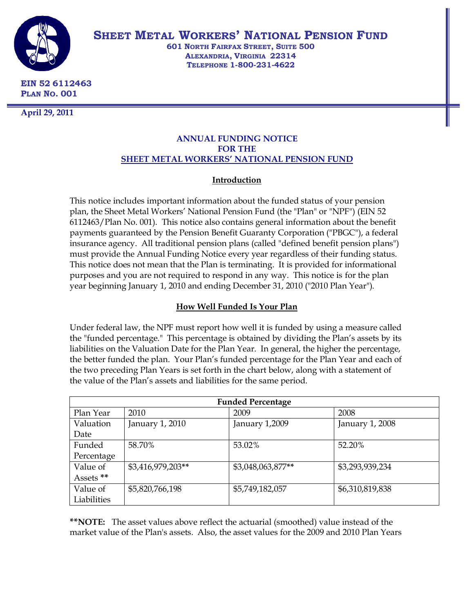

**SHEET METAL WORKERS' NATIONAL PENSION FUND**

**601 NORTH FAIRFAX STREET, SUITE 500 ALEXANDRIA, VIRGINIA 22314 TELEPHONE 1-800-231-4622**

**EIN 52 6112463 PLAN NO. 001**

**April 29, 2011**

# **ANNUAL FUNDING NOTICE FOR THE SHEET METAL WORKERS' NATIONAL PENSION FUND**

# **Introduction**

This notice includes important information about the funded status of your pension plan, the Sheet Metal Workers' National Pension Fund (the "Plan" or "NPF") (EIN 52 6112463/Plan No. 001). This notice also contains general information about the benefit payments guaranteed by the Pension Benefit Guaranty Corporation ("PBGC"), a federal insurance agency. All traditional pension plans (called "defined benefit pension plans") must provide the Annual Funding Notice every year regardless of their funding status. This notice does not mean that the Plan is terminating. It is provided for informational purposes and you are not required to respond in any way. This notice is for the plan year beginning January 1, 2010 and ending December 31, 2010 ("2010 Plan Year").

# **How Well Funded Is Your Plan**

Under federal law, the NPF must report how well it is funded by using a measure called the "funded percentage." This percentage is obtained by dividing the Plan's assets by its liabilities on the Valuation Date for the Plan Year. In general, the higher the percentage, the better funded the plan. Your Plan's funded percentage for the Plan Year and each of the two preceding Plan Years is set forth in the chart below, along with a statement of the value of the Plan's assets and liabilities for the same period.

| <b>Funded Percentage</b> |                   |                   |                 |  |  |
|--------------------------|-------------------|-------------------|-----------------|--|--|
| Plan Year                | 2010              | 2009              | 2008            |  |  |
| Valuation                | January 1, 2010   | January 1,2009    | January 1, 2008 |  |  |
| Date                     |                   |                   |                 |  |  |
| Funded                   | 58.70%            | 53.02%            | 52.20%          |  |  |
| Percentage               |                   |                   |                 |  |  |
| Value of                 | \$3,416,979,203** | \$3,048,063,877** | \$3,293,939,234 |  |  |
| Assets **                |                   |                   |                 |  |  |
| Value of                 | \$5,820,766,198   | \$5,749,182,057   | \$6,310,819,838 |  |  |
| Liabilities              |                   |                   |                 |  |  |

**\*\*NOTE:** The asset values above reflect the actuarial (smoothed) value instead of the market value of the Plan's assets. Also, the asset values for the 2009 and 2010 Plan Years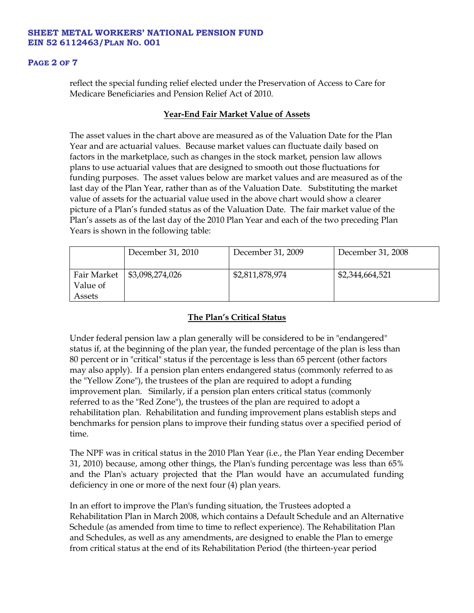#### **PAGE 2 OF 7**

reflect the special funding relief elected under the Preservation of Access to Care for Medicare Beneficiaries and Pension Relief Act of 2010.

## **Year-End Fair Market Value of Assets**

The asset values in the chart above are measured as of the Valuation Date for the Plan Year and are actuarial values. Because market values can fluctuate daily based on factors in the marketplace, such as changes in the stock market, pension law allows plans to use actuarial values that are designed to smooth out those fluctuations for funding purposes. The asset values below are market values and are measured as of the last day of the Plan Year, rather than as of the Valuation Date. Substituting the market value of assets for the actuarial value used in the above chart would show a clearer picture of a Plan's funded status as of the Valuation Date. The fair market value of the Plan's assets as of the last day of the 2010 Plan Year and each of the two preceding Plan Years is shown in the following table:

|                         | December 31, 2010 | December 31, 2009 | December 31, 2008 |
|-------------------------|-------------------|-------------------|-------------------|
| Fair Market<br>Value of | \$3,098,274,026   | \$2,811,878,974   | \$2,344,664,521   |
| Assets                  |                   |                   |                   |

# **The Plan's Critical Status**

Under federal pension law a plan generally will be considered to be in "endangered" status if, at the beginning of the plan year, the funded percentage of the plan is less than 80 percent or in "critical" status if the percentage is less than 65 percent (other factors may also apply). If a pension plan enters endangered status (commonly referred to as the "Yellow Zone"), the trustees of the plan are required to adopt a funding improvement plan. Similarly, if a pension plan enters critical status (commonly referred to as the "Red Zone"), the trustees of the plan are required to adopt a rehabilitation plan. Rehabilitation and funding improvement plans establish steps and benchmarks for pension plans to improve their funding status over a specified period of time.

The NPF was in critical status in the 2010 Plan Year (i.e., the Plan Year ending December 31, 2010) because, among other things, the Plan's funding percentage was less than 65% and the Plan's actuary projected that the Plan would have an accumulated funding deficiency in one or more of the next four (4) plan years.

In an effort to improve the Plan's funding situation, the Trustees adopted a Rehabilitation Plan in March 2008, which contains a Default Schedule and an Alternative Schedule (as amended from time to time to reflect experience). The Rehabilitation Plan and Schedules, as well as any amendments, are designed to enable the Plan to emerge from critical status at the end of its Rehabilitation Period (the thirteen-year period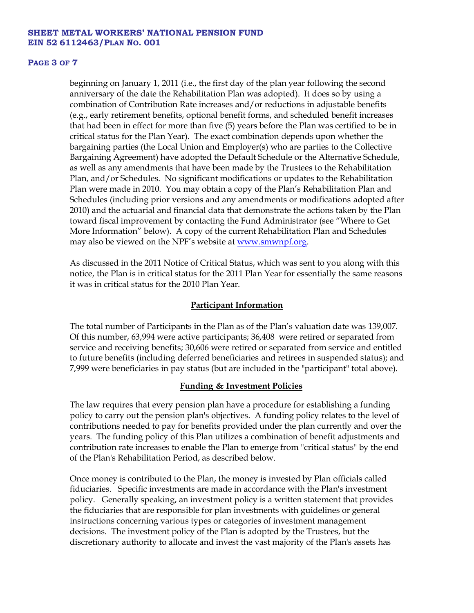#### **PAGE 3 OF 7**

beginning on January 1, 2011 (i.e., the first day of the plan year following the second anniversary of the date the Rehabilitation Plan was adopted). It does so by using a combination of Contribution Rate increases and/or reductions in adjustable benefits (e.g., early retirement benefits, optional benefit forms, and scheduled benefit increases that had been in effect for more than five (5) years before the Plan was certified to be in critical status for the Plan Year). The exact combination depends upon whether the bargaining parties (the Local Union and Employer(s) who are parties to the Collective Bargaining Agreement) have adopted the Default Schedule or the Alternative Schedule, as well as any amendments that have been made by the Trustees to the Rehabilitation Plan, and/or Schedules. No significant modifications or updates to the Rehabilitation Plan were made in 2010. You may obtain a copy of the Plan's Rehabilitation Plan and Schedules (including prior versions and any amendments or modifications adopted after 2010) and the actuarial and financial data that demonstrate the actions taken by the Plan toward fiscal improvement by contacting the Fund Administrator (see "Where to Get More Information" below). A copy of the current Rehabilitation Plan and Schedules may also be viewed on the NPF's website at [www.smwnpf.org.](http://www.smwnpf.org/)

As discussed in the 2011 Notice of Critical Status, which was sent to you along with this notice, the Plan is in critical status for the 2011 Plan Year for essentially the same reasons it was in critical status for the 2010 Plan Year.

### **Participant Information**

The total number of Participants in the Plan as of the Plan's valuation date was 139,007. Of this number, 63,994 were active participants; 36,408 were retired or separated from service and receiving benefits; 30,606 were retired or separated from service and entitled to future benefits (including deferred beneficiaries and retirees in suspended status); and 7,999 were beneficiaries in pay status (but are included in the "participant" total above).

### **Funding & Investment Policies**

The law requires that every pension plan have a procedure for establishing a funding policy to carry out the pension plan's objectives. A funding policy relates to the level of contributions needed to pay for benefits provided under the plan currently and over the years. The funding policy of this Plan utilizes a combination of benefit adjustments and contribution rate increases to enable the Plan to emerge from "critical status" by the end of the Plan's Rehabilitation Period, as described below.

Once money is contributed to the Plan, the money is invested by Plan officials called fiduciaries. Specific investments are made in accordance with the Plan's investment policy. Generally speaking, an investment policy is a written statement that provides the fiduciaries that are responsible for plan investments with guidelines or general instructions concerning various types or categories of investment management decisions. The investment policy of the Plan is adopted by the Trustees, but the discretionary authority to allocate and invest the vast majority of the Plan's assets has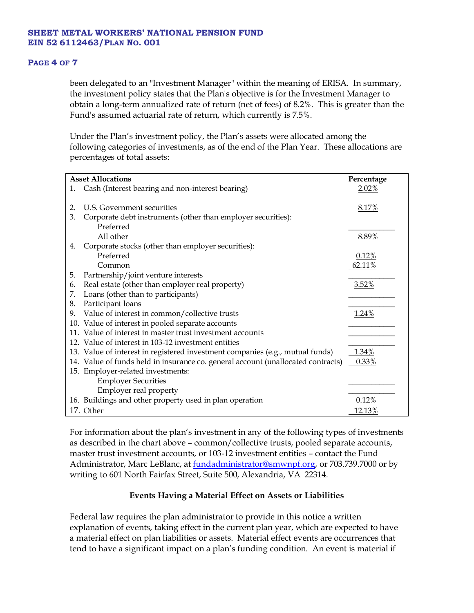### **PAGE 4 OF 7**

been delegated to an "Investment Manager" within the meaning of ERISA. In summary, the investment policy states that the Plan's objective is for the Investment Manager to obtain a long-term annualized rate of return (net of fees) of 8.2%. This is greater than the Fund's assumed actuarial rate of return, which currently is 7.5%.

Under the Plan's investment policy, the Plan's assets were allocated among the following categories of investments, as of the end of the Plan Year. These allocations are percentages of total assets:

| <b>Asset Allocations</b> |                                                                                  | Percentage |
|--------------------------|----------------------------------------------------------------------------------|------------|
| 1.                       | Cash (Interest bearing and non-interest bearing)                                 | $2.02\%$   |
|                          |                                                                                  |            |
| 2.                       | U.S. Government securities                                                       | 8.17%      |
| 3.                       | Corporate debt instruments (other than employer securities):                     |            |
|                          | Preferred                                                                        |            |
|                          | All other                                                                        | 8.89%      |
| 4.                       | Corporate stocks (other than employer securities):                               |            |
|                          | Preferred                                                                        | 0.12%      |
|                          | Common                                                                           | 62.11%     |
| 5.                       | Partnership/joint venture interests                                              |            |
| 6.                       | Real estate (other than employer real property)                                  | 3.52%      |
| 7.                       | Loans (other than to participants)                                               |            |
| 8.                       | Participant loans                                                                |            |
| 9.                       | Value of interest in common/collective trusts                                    | 1.24%      |
|                          | 10. Value of interest in pooled separate accounts                                |            |
|                          | 11. Value of interest in master trust investment accounts                        |            |
|                          | 12. Value of interest in 103-12 investment entities                              |            |
|                          | 13. Value of interest in registered investment companies (e.g., mutual funds)    | 1.34%      |
|                          | 14. Value of funds held in insurance co. general account (unallocated contracts) | 0.33%      |
|                          | 15. Employer-related investments:                                                |            |
|                          | <b>Employer Securities</b>                                                       |            |
|                          | Employer real property                                                           |            |
|                          | 16. Buildings and other property used in plan operation                          | 0.12%      |
|                          | 17. Other                                                                        | 12.13%     |

For information about the plan's investment in any of the following types of investments as described in the chart above – common/collective trusts, pooled separate accounts, master trust investment accounts, or 103-12 investment entities – contact the Fund Administrator, Marc LeBlanc, at [fundadministrator@smwnpf.org,](mailto:fundadministrator@smwnpf.org) or 703.739.7000 or by writing to 601 North Fairfax Street, Suite 500, Alexandria, VA 22314.

# **Events Having a Material Effect on Assets or Liabilities**

Federal law requires the plan administrator to provide in this notice a written explanation of events, taking effect in the current plan year, which are expected to have a material effect on plan liabilities or assets. Material effect events are occurrences that tend to have a significant impact on a plan's funding condition. An event is material if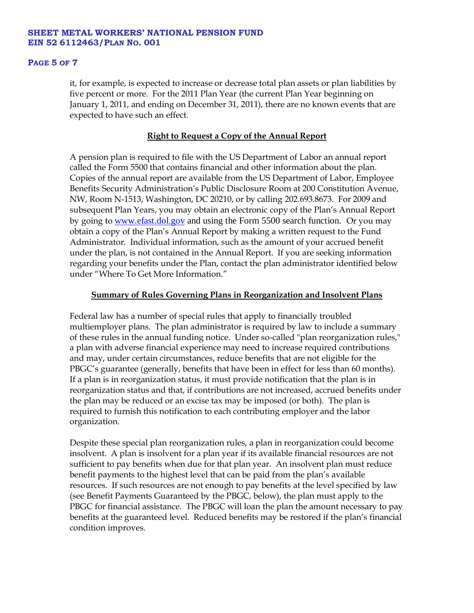#### **PAGE 5 OF 7**

it, for example, is expected to increase or decrease total plan assets or plan liabilities by five percent or more. For the 2011 Plan Year (the current Plan Year beginning on January 1, 2011, and ending on December 31, 2011), there are no known events that are expected to have such an effect.

## **Right to Request a Copy of the Annual Report**

A pension plan is required to file with the US Department of Labor an annual report called the Form 5500 that contains financial and other information about the plan. Copies of the annual report are available from the US Department of Labor, Employee Benefits Security Administration's Public Disclosure Room at 200 Constitution Avenue, NW, Room N-1513, Washington, DC 20210, or by calling 202.693.8673. For 2009 and subsequent Plan Years, you may obtain an electronic copy of the Plan's Annual Report by going to [www.efast.dol.gov](http://www.efast.dol.gov/) and using the Form 5500 search function. Or you may obtain a copy of the Plan's Annual Report by making a written request to the Fund Administrator. Individual information, such as the amount of your accrued benefit under the plan, is not contained in the Annual Report. If you are seeking information regarding your benefits under the Plan, contact the plan administrator identified below under "Where To Get More Information."

## **Summary of Rules Governing Plans in Reorganization and Insolvent Plans**

Federal law has a number of special rules that apply to financially troubled multiemployer plans. The plan administrator is required by law to include a summary of these rules in the annual funding notice. Under so-called "plan reorganization rules," a plan with adverse financial experience may need to increase required contributions and may, under certain circumstances, reduce benefits that are not eligible for the PBGC's guarantee (generally, benefits that have been in effect for less than 60 months). If a plan is in reorganization status, it must provide notification that the plan is in reorganization status and that, if contributions are not increased, accrued benefits under the plan may be reduced or an excise tax may be imposed (or both). The plan is required to furnish this notification to each contributing employer and the labor organization.

Despite these special plan reorganization rules, a plan in reorganization could become insolvent. A plan is insolvent for a plan year if its available financial resources are not sufficient to pay benefits when due for that plan year. An insolvent plan must reduce benefit payments to the highest level that can be paid from the plan's available resources. If such resources are not enough to pay benefits at the level specified by law (see Benefit Payments Guaranteed by the PBGC, below), the plan must apply to the PBGC for financial assistance. The PBGC will loan the plan the amount necessary to pay benefits at the guaranteed level. Reduced benefits may be restored if the plan's financial condition improves.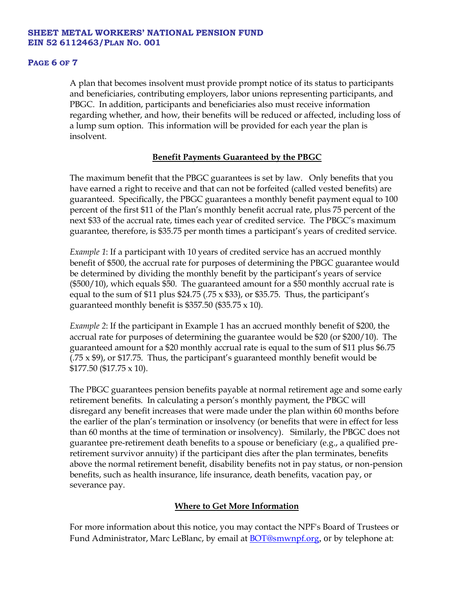#### **PAGE 6 OF 7**

A plan that becomes insolvent must provide prompt notice of its status to participants and beneficiaries, contributing employers, labor unions representing participants, and PBGC. In addition, participants and beneficiaries also must receive information regarding whether, and how, their benefits will be reduced or affected, including loss of a lump sum option. This information will be provided for each year the plan is insolvent.

# **Benefit Payments Guaranteed by the PBGC**

The maximum benefit that the PBGC guarantees is set by law. Only benefits that you have earned a right to receive and that can not be forfeited (called vested benefits) are guaranteed. Specifically, the PBGC guarantees a monthly benefit payment equal to 100 percent of the first \$11 of the Plan's monthly benefit accrual rate, plus 75 percent of the next \$33 of the accrual rate, times each year of credited service. The PBGC's maximum guarantee, therefore, is \$35.75 per month times a participant's years of credited service.

*Example 1*: If a participant with 10 years of credited service has an accrued monthly benefit of \$500, the accrual rate for purposes of determining the PBGC guarantee would be determined by dividing the monthly benefit by the participant's years of service (\$500/10), which equals \$50. The guaranteed amount for a \$50 monthly accrual rate is equal to the sum of \$11 plus \$24.75 (.75  $\times$  \$33), or \$35.75. Thus, the participant's guaranteed monthly benefit is \$357.50 (\$35.75  $\times$  10).

*Example 2*: If the participant in Example 1 has an accrued monthly benefit of \$200, the accrual rate for purposes of determining the guarantee would be \$20 (or \$200/10). The guaranteed amount for a \$20 monthly accrual rate is equal to the sum of \$11 plus \$6.75  $(.75 \times $9)$ , or \$17.75. Thus, the participant's guaranteed monthly benefit would be \$177.50 (\$17.75 x 10).

The PBGC guarantees pension benefits payable at normal retirement age and some early retirement benefits. In calculating a person's monthly payment, the PBGC will disregard any benefit increases that were made under the plan within 60 months before the earlier of the plan's termination or insolvency (or benefits that were in effect for less than 60 months at the time of termination or insolvency). Similarly, the PBGC does not guarantee pre-retirement death benefits to a spouse or beneficiary (e.g., a qualified preretirement survivor annuity) if the participant dies after the plan terminates, benefits above the normal retirement benefit, disability benefits not in pay status, or non-pension benefits, such as health insurance, life insurance, death benefits, vacation pay, or severance pay.

# **Where to Get More Information**

For more information about this notice, you may contact the NPF's Board of Trustees or Fund Administrator, Marc LeBlanc, by email at [BOT@smwnpf.org](mailto:BOT@smwnpf.org), or by telephone at: